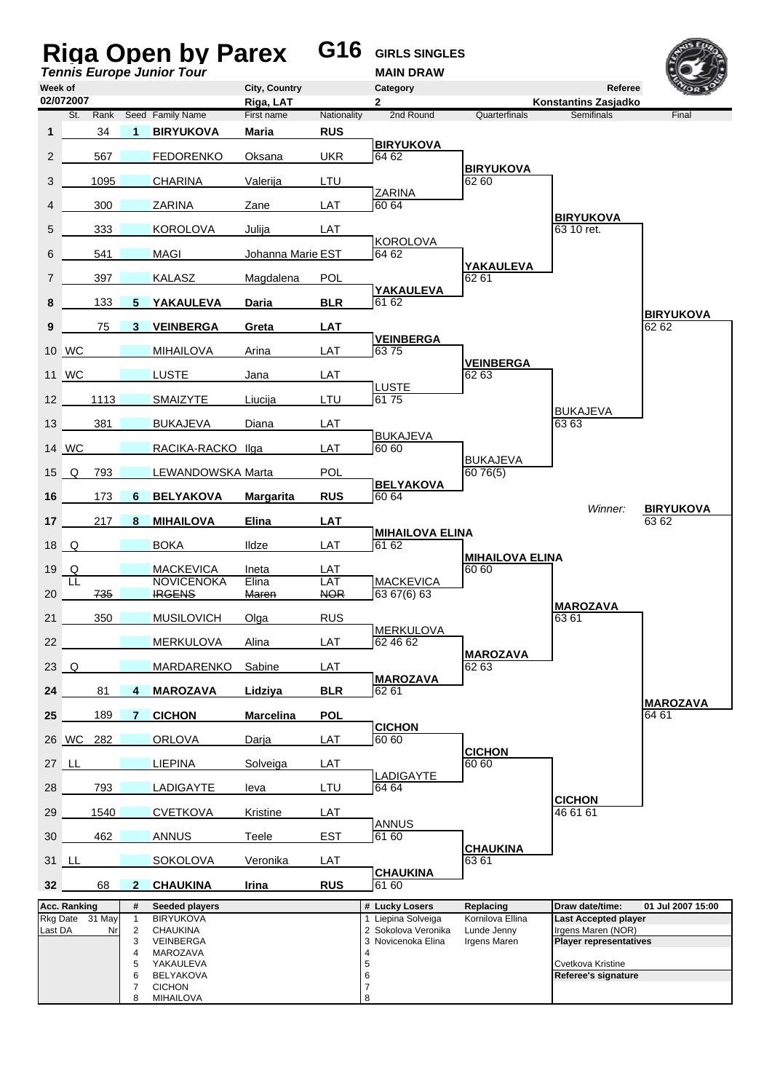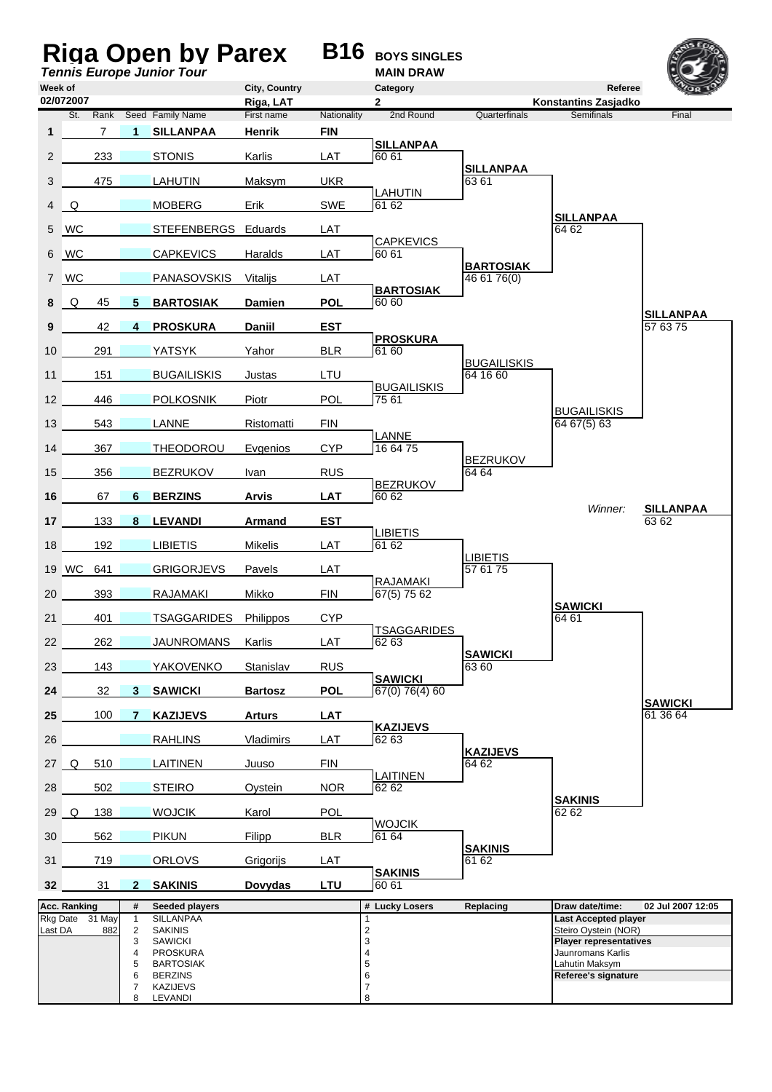|                                                        |                                     |                                    |                     | <b>Riga Open by Parex B16</b><br><b>Tennis Europe Junior Tour</b> |                            |             | <b>BOYS SINGLES</b><br><b>MAIN DRAW</b>      |                                 |                                                    |                              |
|--------------------------------------------------------|-------------------------------------|------------------------------------|---------------------|-------------------------------------------------------------------|----------------------------|-------------|----------------------------------------------|---------------------------------|----------------------------------------------------|------------------------------|
| Week of                                                | 02/072007                           |                                    |                     |                                                                   | City, Country<br>Riga, LAT |             | Category<br>2                                |                                 | Referee<br><b>Konstantins Zasjadko</b>             |                              |
|                                                        | St.                                 | Rank                               |                     | Seed Family Name                                                  | First name                 | Nationality | 2nd Round                                    | Quarterfinals                   | <b>Semifinals</b>                                  | Final                        |
| $\mathbf{1}$                                           |                                     | $\overline{7}$                     | $\mathbf 1$         | <b>SILLANPAA</b>                                                  | Henrik                     | <b>FIN</b>  | <b>SILLANPAA</b>                             |                                 |                                                    |                              |
| 2                                                      |                                     | 233                                |                     | <b>STONIS</b>                                                     | Karlis                     | LAT         | 60 61                                        |                                 |                                                    |                              |
| 3                                                      |                                     | 475                                |                     | <b>LAHUTIN</b>                                                    | Maksvm                     | <b>UKR</b>  |                                              | <b>SILLANPAA</b><br>6361        |                                                    |                              |
| 4                                                      | Q                                   |                                    |                     | <b>MOBERG</b>                                                     | Erik                       | <b>SWE</b>  | <b>LAHUTIN</b><br>61 62                      |                                 |                                                    |                              |
| 5                                                      | <b>WC</b>                           |                                    |                     | STEFENBERGS Eduards                                               |                            | LAT         |                                              |                                 | <b>SILLANPAA</b><br>64 62                          |                              |
| 6                                                      | <b>WC</b>                           |                                    |                     | <b>CAPKEVICS</b>                                                  | Haralds                    | LAT         | <b>CAPKEVICS</b><br>60 61                    |                                 |                                                    |                              |
| $\overline{7}$                                         | <b>WC</b>                           |                                    |                     | PANASOVSKIS                                                       | Vitalijs                   | LAT         |                                              | <b>BARTOSIAK</b><br>46 61 76(0) |                                                    |                              |
| 8                                                      | Q                                   | 45                                 | 5                   | <b>BARTOSIAK</b>                                                  | Damien                     | <b>POL</b>  | <b>BARTOSIAK</b><br>60 60                    |                                 |                                                    |                              |
| 9                                                      |                                     | 42                                 | 4                   | <b>PROSKURA</b>                                                   | <b>Daniil</b>              | <b>EST</b>  |                                              |                                 |                                                    | <b>SILLANPAA</b><br>57 63 75 |
| 10                                                     |                                     | 291                                |                     | <b>YATSYK</b>                                                     | Yahor                      | <b>BLR</b>  | <b>PROSKURA</b><br>61 60                     |                                 |                                                    |                              |
| 11                                                     |                                     | 151                                |                     | <b>BUGAILISKIS</b>                                                | Justas                     | LTU         |                                              | <b>BUGAILISKIS</b><br>64 16 60  |                                                    |                              |
| 12                                                     |                                     | 446                                |                     | <b>POLKOSNIK</b>                                                  | Piotr                      | <b>POL</b>  | <b>BUGAILISKIS</b><br>75 61                  |                                 |                                                    |                              |
| 13                                                     |                                     | 543                                |                     | LANNE                                                             | Ristomatti                 | <b>FIN</b>  |                                              |                                 | <b>BUGAILISKIS</b><br>6467(5)63                    |                              |
| 14                                                     |                                     | 367                                |                     |                                                                   |                            | <b>CYP</b>  | <b>LANNE</b><br>16 64 75                     |                                 |                                                    |                              |
|                                                        |                                     |                                    |                     | <b>THEODOROU</b>                                                  | Evgenios                   |             |                                              | <b>BEZRUKOV</b>                 |                                                    |                              |
| 15                                                     |                                     | 356                                |                     | <b>BEZRUKOV</b>                                                   | Ivan                       | <b>RUS</b>  | <b>BEZRUKOV</b>                              | 64 64                           |                                                    |                              |
| 16                                                     |                                     | 67                                 | 6                   | <b>BERZINS</b>                                                    | <b>Arvis</b>               | <b>LAT</b>  | 60 62                                        |                                 | Winner:                                            | <b>SILLANPAA</b>             |
| 17                                                     |                                     | 133                                | 8                   | <b>LEVANDI</b>                                                    | Armand                     | <b>EST</b>  | <b>LIBIETIS</b>                              |                                 |                                                    | 6362                         |
| 18                                                     |                                     | 192                                |                     | <b>LIBIETIS</b>                                                   | Mikelis                    | LAT         | 61 62                                        | <b>LIBIETIS</b>                 |                                                    |                              |
|                                                        | 19 WC                               | 641                                |                     | <b>GRIGORJEVS</b>                                                 | Pavels                     | LAT         | <b>RAJAMAKI</b>                              | 57 61 75                        |                                                    |                              |
| 20                                                     |                                     | 393                                |                     | <b>RAJAMAKI</b>                                                   | Mikko                      | <b>FIN</b>  | 67(5) 75 62                                  |                                 | <b>SAWICKI</b>                                     |                              |
| 21                                                     |                                     | 401                                |                     | TSAGGARIDES                                                       | Philippos                  | <b>CYP</b>  | <b>TSAGGARIDES</b>                           |                                 | 64 61                                              |                              |
| 22                                                     |                                     | 262                                |                     | <b>JAUNROMANS</b>                                                 | Karlis                     | LAT         | 62 63                                        | <b>SAWICKI</b>                  |                                                    |                              |
| 23                                                     |                                     | 143                                |                     | YAKOVENKO                                                         | <b>Stanislav</b>           | <b>RUS</b>  | <b>SAWICKI</b>                               | 63 60                           |                                                    |                              |
| 24                                                     |                                     | 32                                 | 3 <sup>7</sup>      | <b>SAWICKI</b>                                                    | <b>Bartosz</b>             | <b>POL</b>  | 67(0) 76(4) 60                               |                                 |                                                    | <b>SAWICKI</b>               |
| 25                                                     |                                     | 100                                | $7^{\circ}$         | <b>KAZIJEVS</b>                                                   | <b>Arturs</b>              | LAT         |                                              |                                 |                                                    | 61 36 64                     |
| 26                                                     |                                     |                                    |                     | <b>RAHLINS</b>                                                    | Vladimirs                  | LAT         | <b>KAZIJEVS</b><br>62 63                     |                                 |                                                    |                              |
|                                                        | 27 Q                                | 510                                |                     | <b>LAITINEN</b>                                                   | Juuso                      | <b>FIN</b>  |                                              | <b>KAZIJEVS</b><br>64 62        |                                                    |                              |
| 28                                                     |                                     | 502                                |                     | <b>STEIRO</b>                                                     | Oystein                    | <b>NOR</b>  | LAITINEN<br>62 62                            |                                 |                                                    |                              |
|                                                        | 29 Q                                | 138                                |                     | <b>WOJCIK</b>                                                     | Karol                      | <b>POL</b>  |                                              |                                 | <b>SAKINIS</b><br>62 62                            |                              |
| 30                                                     |                                     | 562                                |                     | <b>PIKUN</b>                                                      | Filipp                     | <b>BLR</b>  | <b>WOJCIK</b><br>61 64                       |                                 |                                                    |                              |
| 31                                                     |                                     | 719                                |                     | <b>ORLOVS</b>                                                     | Grigorijs                  | <b>LAT</b>  |                                              | <b>SAKINIS</b><br>61 62         |                                                    |                              |
| 32                                                     |                                     | 31                                 | $\mathbf{2}$        | <b>SAKINIS</b>                                                    | Dovydas                    | LTU         | <b>SAKINIS</b><br>60 61                      |                                 |                                                    |                              |
|                                                        | Acc. Ranking<br>#<br>Seeded players |                                    |                     |                                                                   | # Lucky Losers             | Replacing   | Draw date/time:                              | 02 Jul 2007 12:05               |                                                    |                              |
| Rkg Date 31 May<br>$\mathbf{1}$<br>Last DA<br>882<br>2 |                                     | <b>SILLANPAA</b><br><b>SAKINIS</b> |                     |                                                                   | $\overline{\mathbf{c}}$    |             | Last Accepted player<br>Steiro Oystein (NOR) |                                 |                                                    |                              |
|                                                        |                                     |                                    | 3<br>4              | <b>SAWICKI</b><br><b>PROSKURA</b>                                 |                            |             | 3<br>$\overline{4}$                          |                                 | <b>Player representatives</b><br>Jaunromans Karlis |                              |
|                                                        |                                     |                                    | 5                   | <b>BARTOSIAK</b>                                                  |                            |             | 5                                            |                                 | Lahutin Maksym                                     |                              |
|                                                        |                                     |                                    | 6<br>$\overline{7}$ | <b>BERZINS</b><br><b>KAZIJEVS</b>                                 |                            |             | 6<br>$\overline{7}$                          |                                 | Referee's signature                                |                              |
|                                                        |                                     |                                    | 8                   | LEVANDI                                                           |                            |             | 8                                            |                                 |                                                    |                              |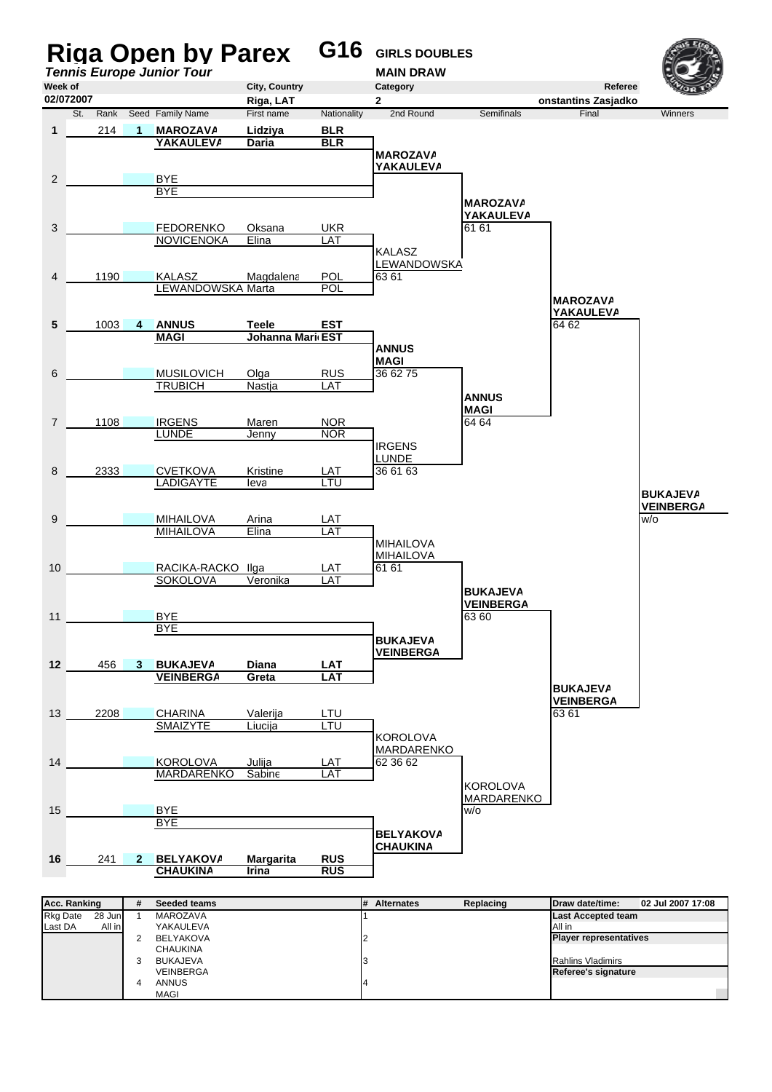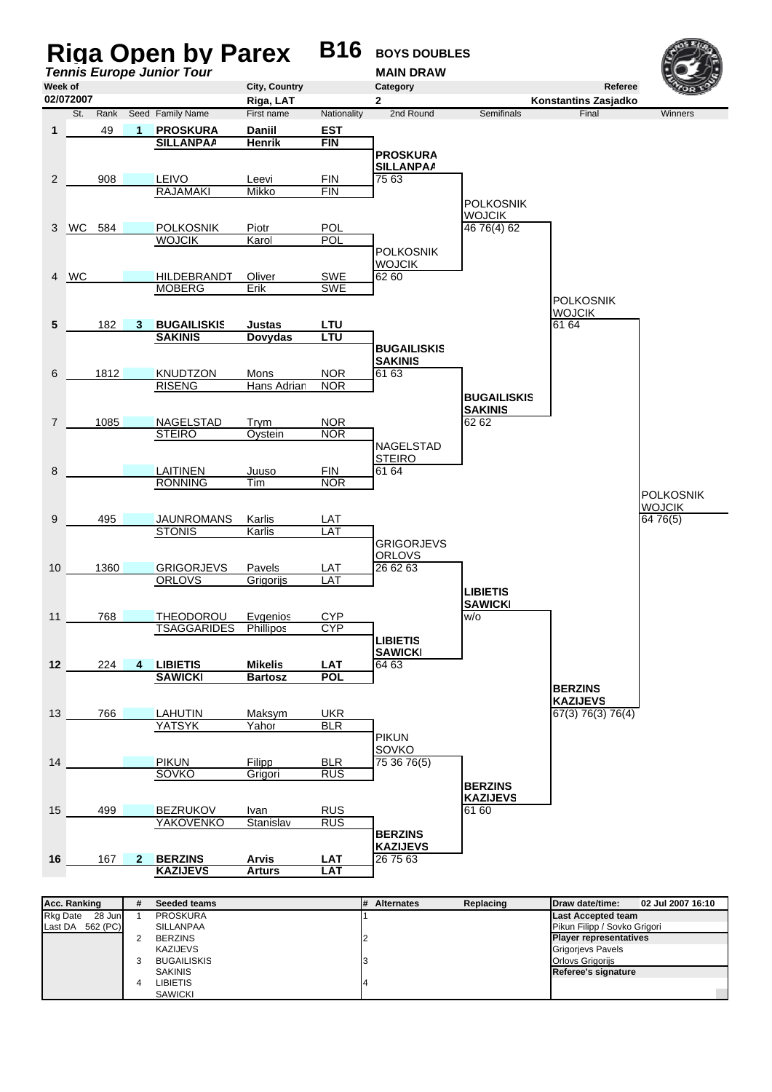

| <b>Rkg Date</b><br>28 Jun | <b>PROSKURA</b>    | <b>Last Accepted team</b>     |
|---------------------------|--------------------|-------------------------------|
| 562 (PC)<br>Last DA       | SILLANPAA          | Pikun Filipp / Sovko Grigori  |
|                           | <b>BERZINS</b>     | <b>Player representatives</b> |
|                           | KAZIJEVS           | <b>Grigorievs Pavels</b>      |
|                           | <b>BUGAILISKIS</b> | <b>Orlovs Grigoriis</b>       |
|                           | <b>SAKINIS</b>     | Referee's signature           |
|                           | LIBIETIS           |                               |
|                           | <b>SAWICKI</b>     |                               |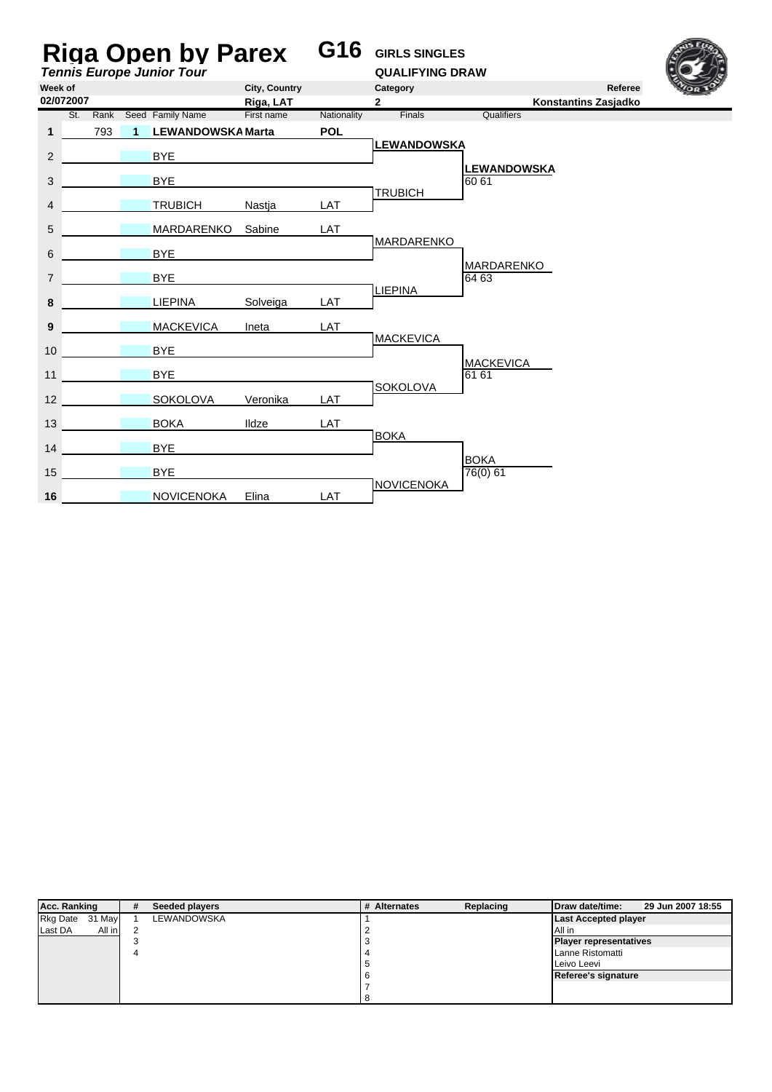| <b>Riga Open by Parex</b><br><b>Tennis Europe Junior Tour</b> |     |                      |                          |               | G16         | <b>GIRLS SINGLES</b><br><b>QUALIFYING DRAW</b> |                                                                                        |         |  |
|---------------------------------------------------------------|-----|----------------------|--------------------------|---------------|-------------|------------------------------------------------|----------------------------------------------------------------------------------------|---------|--|
| Week of                                                       |     |                      |                          | City, Country |             | Category                                       |                                                                                        | Referee |  |
| 02/072007                                                     |     |                      |                          | Riga, LAT     |             | $\overline{2}$                                 |                                                                                        |         |  |
|                                                               | St. |                      | Rank Seed Family Name    | First name    | Nationality | Finals                                         |                                                                                        |         |  |
| $\mathbf{1}$                                                  | 793 | $\blacktriangleleft$ | <b>LEWANDOWSKA Marta</b> |               | <b>POL</b>  | <b>LEWANDOWSKA</b>                             |                                                                                        |         |  |
| $\overline{2}$                                                |     |                      | <b>BYE</b>               |               |             |                                                |                                                                                        |         |  |
| 3                                                             |     |                      | <b>BYE</b>               |               |             |                                                | <b>LEWANDOWSKA</b><br>60 61                                                            |         |  |
|                                                               |     |                      |                          |               |             | <b>TRUBICH</b>                                 | Konstantins Zasjadko<br>Qualifiers<br>MARDARENKO<br>64 63<br><b>MACKEVICA</b><br>61 61 |         |  |
| 4                                                             |     |                      | <b>TRUBICH</b>           | Nastja        | LAT         |                                                |                                                                                        |         |  |
| 5                                                             |     |                      | MARDARENKO               | Sabine        | LAT         |                                                |                                                                                        |         |  |
| 6                                                             |     |                      | <b>BYE</b>               |               |             | <b>MARDARENKO</b>                              |                                                                                        |         |  |
| 7                                                             |     |                      | <b>BYE</b>               |               |             |                                                |                                                                                        |         |  |
| 8                                                             |     |                      | <b>LIEPINA</b>           | Solveiga      | LAT         | <b>LIEPINA</b>                                 |                                                                                        |         |  |
|                                                               |     |                      | <b>MACKEVICA</b>         | Ineta         | LAT         |                                                |                                                                                        |         |  |
| 9                                                             |     |                      |                          |               |             | <b>MACKEVICA</b>                               |                                                                                        |         |  |
| 10                                                            |     |                      | <b>BYE</b>               |               |             |                                                |                                                                                        |         |  |
| 11                                                            |     |                      | <b>BYE</b>               |               |             |                                                |                                                                                        |         |  |
| 12                                                            |     |                      | SOKOLOVA                 | Veronika      | LAT         | SOKOLOVA                                       |                                                                                        |         |  |
| 13                                                            |     |                      | <b>BOKA</b>              | Ildze         | LAT         |                                                |                                                                                        |         |  |
| 14                                                            |     |                      | <b>BYE</b>               |               |             | <b>BOKA</b>                                    |                                                                                        |         |  |
| 15                                                            |     |                      | <b>BYE</b>               |               |             |                                                | <b>BOKA</b><br>76(0) 61                                                                |         |  |
|                                                               |     |                      |                          |               |             | <b>NOVICENOKA</b>                              |                                                                                        |         |  |
| 16                                                            |     |                      | <b>NOVICENOKA</b>        | Elina         | LAT         |                                                |                                                                                        |         |  |

| Acc. Ranking              | # | Seeded players     | # Alternates     | Replacing | Draw date/time:               | 29 Jun 2007 18:55 |
|---------------------------|---|--------------------|------------------|-----------|-------------------------------|-------------------|
| <b>Rkg Date</b><br>31 May |   | <b>LEWANDOWSKA</b> |                  |           | <b>Last Accepted player</b>   |                   |
| All in<br>Last DA         |   |                    |                  |           | All in                        |                   |
|                           |   |                    |                  |           | <b>Player representatives</b> |                   |
|                           |   |                    | Lanne Ristomatti |           |                               |                   |
|                           |   |                    |                  |           | Leivo Leevi                   |                   |
|                           |   |                    |                  |           | Referee's signature           |                   |
|                           |   |                    |                  |           |                               |                   |
|                           |   |                    |                  |           |                               |                   |